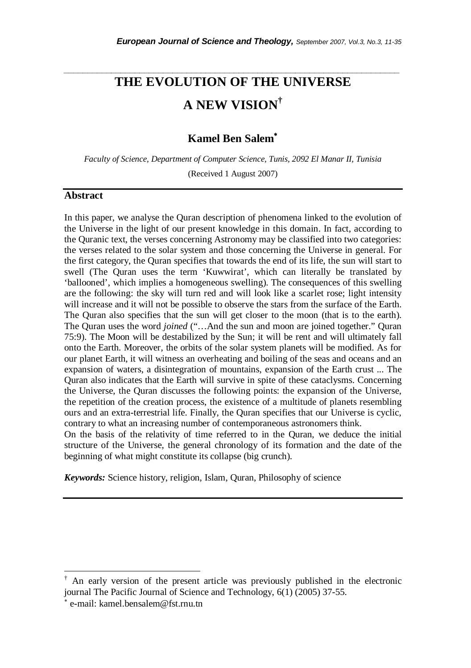# **THE EVOLUTION OF THE UNIVERSE A NEW VISION†**

*\_\_\_\_\_\_\_\_\_\_\_\_\_\_\_\_\_\_\_\_\_\_\_\_\_\_\_\_\_\_\_\_\_\_\_\_\_\_\_\_\_\_\_\_\_\_\_\_\_\_\_\_\_\_\_\_\_\_\_\_\_\_\_\_\_\_\_\_\_\_\_* 

# **Kamel Ben Salem**<sup>∗</sup>

*Faculty of Science, Department of Computer Science, Tunis, 2092 El Manar II, Tunisia* 

(Received 1 August 2007)

## **Abstract**

In this paper, we analyse the Quran description of phenomena linked to the evolution of the Universe in the light of our present knowledge in this domain. In fact, according to the Quranic text, the verses concerning Astronomy may be classified into two categories: the verses related to the solar system and those concerning the Universe in general. For the first category, the Quran specifies that towards the end of its life, the sun will start to swell (The Quran uses the term 'Kuwwirat', which can literally be translated by 'ballooned', which implies a homogeneous swelling). The consequences of this swelling are the following: the sky will turn red and will look like a scarlet rose; light intensity will increase and it will not be possible to observe the stars from the surface of the Earth. The Quran also specifies that the sun will get closer to the moon (that is to the earth). The Quran uses the word *joined* ("…And the sun and moon are joined together." Quran 75:9). The Moon will be destabilized by the Sun; it will be rent and will ultimately fall onto the Earth. Moreover, the orbits of the solar system planets will be modified. As for our planet Earth, it will witness an overheating and boiling of the seas and oceans and an expansion of waters, a disintegration of mountains, expansion of the Earth crust ... The Quran also indicates that the Earth will survive in spite of these cataclysms. Concerning the Universe, the Quran discusses the following points: the expansion of the Universe, the repetition of the creation process, the existence of a multitude of planets resembling ours and an extra-terrestrial life. Finally, the Quran specifies that our Universe is cyclic, contrary to what an increasing number of contemporaneous astronomers think.

On the basis of the relativity of time referred to in the Quran, we deduce the initial structure of the Universe, the general chronology of its formation and the date of the beginning of what might constitute its collapse (big crunch).

*Keywords:* Science history, religion, Islam, Quran, Philosophy of science

-

<sup>†</sup> An early version of the present article was previously published in the electronic journal The Pacific Journal of Science and Technology, 6(1) (2005) 37-55.

<sup>∗</sup> e-mail: kamel.bensalem@fst.rnu.tn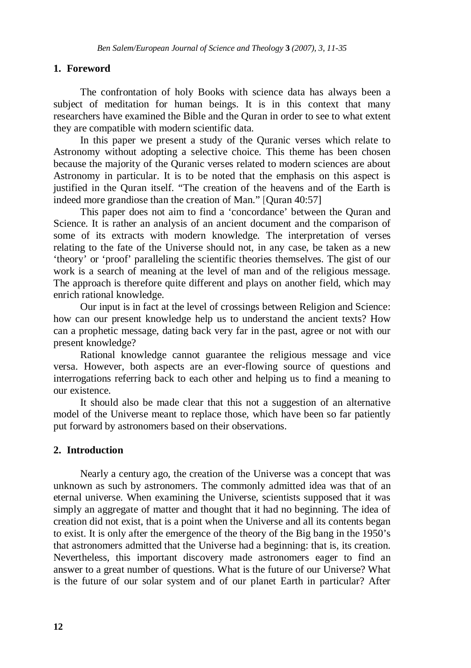## **1. Foreword**

The confrontation of holy Books with science data has always been a subject of meditation for human beings. It is in this context that many researchers have examined the Bible and the Quran in order to see to what extent they are compatible with modern scientific data.

In this paper we present a study of the Quranic verses which relate to Astronomy without adopting a selective choice. This theme has been chosen because the majority of the Quranic verses related to modern sciences are about Astronomy in particular. It is to be noted that the emphasis on this aspect is justified in the Quran itself. "The creation of the heavens and of the Earth is indeed more grandiose than the creation of Man." [Quran 40:57]

This paper does not aim to find a 'concordance' between the Quran and Science. It is rather an analysis of an ancient document and the comparison of some of its extracts with modern knowledge. The interpretation of verses relating to the fate of the Universe should not, in any case, be taken as a new 'theory' or 'proof' paralleling the scientific theories themselves. The gist of our work is a search of meaning at the level of man and of the religious message. The approach is therefore quite different and plays on another field, which may enrich rational knowledge.

Our input is in fact at the level of crossings between Religion and Science: how can our present knowledge help us to understand the ancient texts? How can a prophetic message, dating back very far in the past, agree or not with our present knowledge?

Rational knowledge cannot guarantee the religious message and vice versa. However, both aspects are an ever-flowing source of questions and interrogations referring back to each other and helping us to find a meaning to our existence.

It should also be made clear that this not a suggestion of an alternative model of the Universe meant to replace those, which have been so far patiently put forward by astronomers based on their observations.

#### **2. Introduction**

 Nearly a century ago, the creation of the Universe was a concept that was unknown as such by astronomers. The commonly admitted idea was that of an eternal universe. When examining the Universe, scientists supposed that it was simply an aggregate of matter and thought that it had no beginning. The idea of creation did not exist, that is a point when the Universe and all its contents began to exist. It is only after the emergence of the theory of the Big bang in the 1950's that astronomers admitted that the Universe had a beginning: that is, its creation. Nevertheless, this important discovery made astronomers eager to find an answer to a great number of questions. What is the future of our Universe? What is the future of our solar system and of our planet Earth in particular? After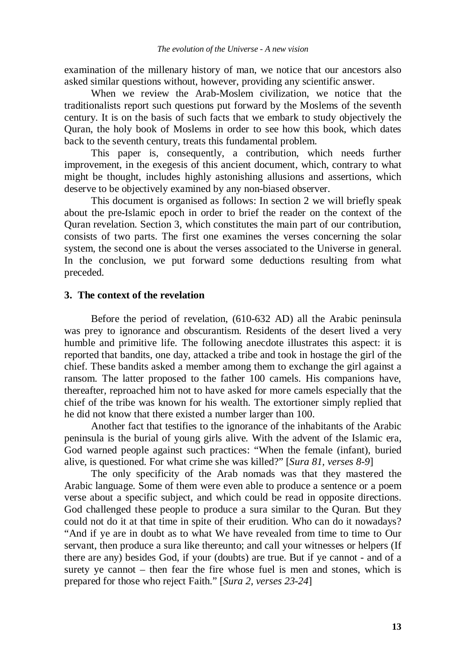examination of the millenary history of man, we notice that our ancestors also asked similar questions without, however, providing any scientific answer.

When we review the Arab-Moslem civilization, we notice that the traditionalists report such questions put forward by the Moslems of the seventh century. It is on the basis of such facts that we embark to study objectively the Quran, the holy book of Moslems in order to see how this book, which dates back to the seventh century, treats this fundamental problem.

 This paper is, consequently, a contribution, which needs further improvement, in the exegesis of this ancient document, which, contrary to what might be thought, includes highly astonishing allusions and assertions, which deserve to be objectively examined by any non-biased observer.

 This document is organised as follows: In section 2 we will briefly speak about the pre-Islamic epoch in order to brief the reader on the context of the Quran revelation. Section 3, which constitutes the main part of our contribution, consists of two parts. The first one examines the verses concerning the solar system, the second one is about the verses associated to the Universe in general. In the conclusion, we put forward some deductions resulting from what preceded.

#### **3. The context of the revelation**

 Before the period of revelation, (610-632 AD) all the Arabic peninsula was prey to ignorance and obscurantism. Residents of the desert lived a very humble and primitive life. The following anecdote illustrates this aspect: it is reported that bandits, one day, attacked a tribe and took in hostage the girl of the chief. These bandits asked a member among them to exchange the girl against a ransom. The latter proposed to the father 100 camels. His companions have, thereafter, reproached him not to have asked for more camels especially that the chief of the tribe was known for his wealth. The extortioner simply replied that he did not know that there existed a number larger than 100.

Another fact that testifies to the ignorance of the inhabitants of the Arabic peninsula is the burial of young girls alive. With the advent of the Islamic era, God warned people against such practices: "When the female (infant), buried alive, is questioned. For what crime she was killed?" [*Sura 81, verses 8-9*]

The only specificity of the Arab nomads was that they mastered the Arabic language. Some of them were even able to produce a sentence or a poem verse about a specific subject, and which could be read in opposite directions. God challenged these people to produce a sura similar to the Quran. But they could not do it at that time in spite of their erudition. Who can do it nowadays? "And if ye are in doubt as to what We have revealed from time to time to Our servant, then produce a sura like thereunto; and call your witnesses or helpers (If there are any) besides God, if your (doubts) are true. But if ye cannot - and of a surety ye cannot – then fear the fire whose fuel is men and stones, which is prepared for those who reject Faith." [*Sura 2, verses 23-24*]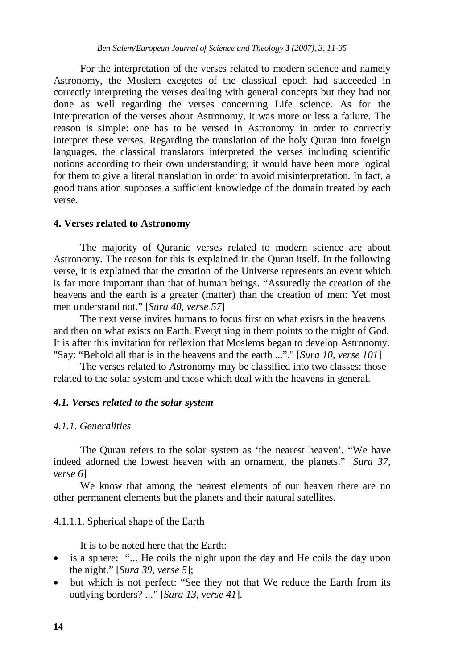For the interpretation of the verses related to modern science and namely Astronomy, the Moslem exegetes of the classical epoch had succeeded in correctly interpreting the verses dealing with general concepts but they had not done as well regarding the verses concerning Life science. As for the interpretation of the verses about Astronomy, it was more or less a failure. The reason is simple: one has to be versed in Astronomy in order to correctly interpret these verses. Regarding the translation of the holy Quran into foreign languages, the classical translators interpreted the verses including scientific notions according to their own understanding; it would have been more logical for them to give a literal translation in order to avoid misinterpretation. In fact, a good translation supposes a sufficient knowledge of the domain treated by each verse.

#### **4. Verses related to Astronomy**

The majority of Quranic verses related to modern science are about Astronomy. The reason for this is explained in the Quran itself. In the following verse, it is explained that the creation of the Universe represents an event which is far more important than that of human beings. "Assuredly the creation of the heavens and the earth is a greater (matter) than the creation of men: Yet most men understand not." [*Sura 40, verse 57*]

The next verse invites humans to focus first on what exists in the heavens and then on what exists on Earth. Everything in them points to the might of God. It is after this invitation for reflexion that Moslems began to develop Astronomy. "Say: "Behold all that is in the heavens and the earth ..."." [*Sura 10, verse 101*]

The verses related to Astronomy may be classified into two classes: those related to the solar system and those which deal with the heavens in general.

#### *4.1. Verses related to the solar system*

#### *4.1.1. Generalities*

The Quran refers to the solar system as 'the nearest heaven'. "We have indeed adorned the lowest heaven with an ornament, the planets." [*Sura 37, verse 6*]

We know that among the nearest elements of our heaven there are no other permanent elements but the planets and their natural satellites.

#### 4.1.1.1. Spherical shape of the Earth

It is to be noted here that the Earth:

- is a sphere: "... He coils the night upon the day and He coils the day upon the night." [*Sura 39, verse 5*];
- but which is not perfect: "See they not that We reduce the Earth from its outlying borders? ..." [*Sura 13, verse 41*].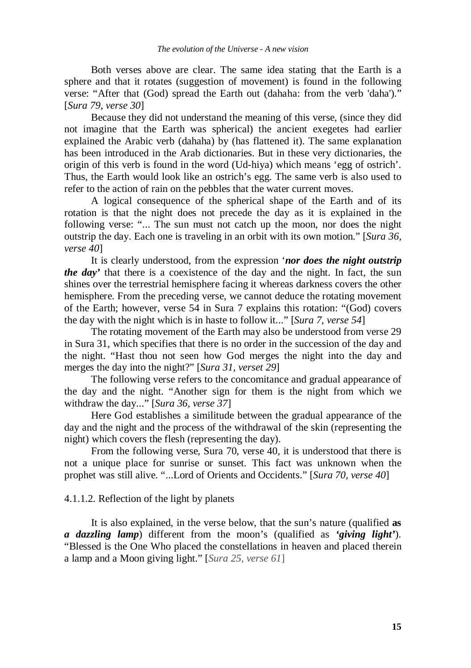Both verses above are clear. The same idea stating that the Earth is a sphere and that it rotates (suggestion of movement) is found in the following verse: "After that (God) spread the Earth out (dahaha: from the verb 'daha')." [*Sura 79, verse 30*]

Because they did not understand the meaning of this verse, (since they did not imagine that the Earth was spherical) the ancient exegetes had earlier explained the Arabic verb (dahaha) by (has flattened it). The same explanation has been introduced in the Arab dictionaries. But in these very dictionaries, the origin of this verb is found in the word (Ud-hiya) which means 'egg of ostrich'. Thus, the Earth would look like an ostrich's egg. The same verb is also used to refer to the action of rain on the pebbles that the water current moves.

A logical consequence of the spherical shape of the Earth and of its rotation is that the night does not precede the day as it is explained in the following verse: "... The sun must not catch up the moon, nor does the night outstrip the day. Each one is traveling in an orbit with its own motion." [*Sura 36, verse 40*]

It is clearly understood, from the expression '*nor does the night outstrip the day'* that there is a coexistence of the day and the night. In fact, the sun shines over the terrestrial hemisphere facing it whereas darkness covers the other hemisphere. From the preceding verse, we cannot deduce the rotating movement of the Earth; however, verse 54 in Sura 7 explains this rotation: "(God) covers the day with the night which is in haste to follow it..." [*Sura 7, verse 54*]

The rotating movement of the Earth may also be understood from verse 29 in Sura 31, which specifies that there is no order in the succession of the day and the night. "Hast thou not seen how God merges the night into the day and merges the day into the night?" [*Sura 31, verset 29*]

The following verse refers to the concomitance and gradual appearance of the day and the night. "Another sign for them is the night from which we withdraw the day..." [*Sura 36, verse 37*]

Here God establishes a similitude between the gradual appearance of the day and the night and the process of the withdrawal of the skin (representing the night) which covers the flesh (representing the day).

From the following verse, Sura 70, verse 40, it is understood that there is not a unique place for sunrise or sunset. This fact was unknown when the prophet was still alive. "...Lord of Orients and Occidents." [*Sura 70, verse 40*]

# 4.1.1.2. Reflection of the light by planets

It is also explained, in the verse below, that the sun's nature (qualified **as**  *a dazzling lamp*) different from the moon's (qualified as *'giving light'*). "Blessed is the One Who placed the constellations in heaven and placed therein a lamp and a Moon giving light." [*Sura 25, verse 61*]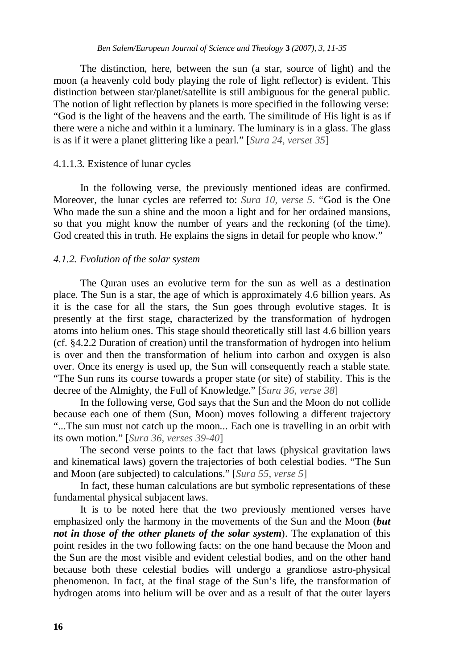The distinction, here, between the sun (a star, source of light) and the moon (a heavenly cold body playing the role of light reflector) is evident. This distinction between star/planet/satellite is still ambiguous for the general public. The notion of light reflection by planets is more specified in the following verse: "God is the light of the heavens and the earth. The similitude of His light is as if there were a niche and within it a luminary. The luminary is in a glass. The glass is as if it were a planet glittering like a pearl." [*Sura 24, verset 35*]

#### 4.1.1.3. Existence of lunar cycles

In the following verse, the previously mentioned ideas are confirmed. Moreover, the lunar cycles are referred to: *Sura 10, verse 5*. "God is the One Who made the sun a shine and the moon a light and for her ordained mansions, so that you might know the number of years and the reckoning (of the time). God created this in truth. He explains the signs in detail for people who know."

#### *4.1.2. Evolution of the solar system*

The Quran uses an evolutive term for the sun as well as a destination place. The Sun is a star, the age of which is approximately 4.6 billion years. As it is the case for all the stars, the Sun goes through evolutive stages. It is presently at the first stage, characterized by the transformation of hydrogen atoms into helium ones. This stage should theoretically still last 4.6 billion years (cf. §4.2.2 Duration of creation) until the transformation of hydrogen into helium is over and then the transformation of helium into carbon and oxygen is also over. Once its energy is used up, the Sun will consequently reach a stable state. "The Sun runs its course towards a proper state (or site) of stability. This is the decree of the Almighty, the Full of Knowledge." [*Sura 36, verse 38*]

In the following verse, God says that the Sun and the Moon do not collide because each one of them (Sun, Moon) moves following a different trajectory "...The sun must not catch up the moon... Each one is travelling in an orbit with its own motion." [*Sura 36, verses 39-40*]

The second verse points to the fact that laws (physical gravitation laws and kinematical laws) govern the trajectories of both celestial bodies. "The Sun and Moon (are subjected) to calculations." [*Sura 55, verse 5*]

In fact, these human calculations are but symbolic representations of these fundamental physical subjacent laws.

It is to be noted here that the two previously mentioned verses have emphasized only the harmony in the movements of the Sun and the Moon (*but not in those of the other planets of the solar system*). The explanation of this point resides in the two following facts: on the one hand because the Moon and the Sun are the most visible and evident celestial bodies, and on the other hand because both these celestial bodies will undergo a grandiose astro-physical phenomenon. In fact, at the final stage of the Sun's life, the transformation of hydrogen atoms into helium will be over and as a result of that the outer layers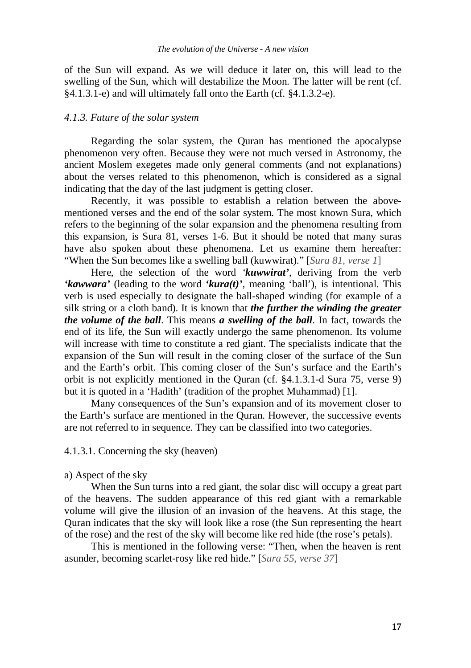of the Sun will expand. As we will deduce it later on, this will lead to the swelling of the Sun, which will destabilize the Moon. The latter will be rent (cf. §4.1.3.1-e) and will ultimately fall onto the Earth (cf. §4.1.3.2-e).

## *4.1.3. Future of the solar system*

Regarding the solar system, the Quran has mentioned the apocalypse phenomenon very often. Because they were not much versed in Astronomy, the ancient Moslem exegetes made only general comments (and not explanations) about the verses related to this phenomenon, which is considered as a signal indicating that the day of the last judgment is getting closer.

Recently, it was possible to establish a relation between the abovementioned verses and the end of the solar system. The most known Sura, which refers to the beginning of the solar expansion and the phenomena resulting from this expansion, is Sura 81, verses 1-6. But it should be noted that many suras have also spoken about these phenomena. Let us examine them hereafter: "When the Sun becomes like a swelling ball (kuwwirat)." [*Sura 81, verse 1*]

Here, the selection of the word *'kuwwirat'*, deriving from the verb *'kawwara'* (leading to the word *'kura(t)'*, meaning 'ball'), is intentional. This verb is used especially to designate the ball-shaped winding (for example of a silk string or a cloth band). It is known that *the further the winding the greater the volume of the ball*. This means *a swelling of the ball*. In fact, towards the end of its life, the Sun will exactly undergo the same phenomenon. Its volume will increase with time to constitute a red giant. The specialists indicate that the expansion of the Sun will result in the coming closer of the surface of the Sun and the Earth's orbit. This coming closer of the Sun's surface and the Earth's orbit is not explicitly mentioned in the Quran (cf. §4.1.3.1-d Sura 75, verse 9) but it is quoted in a 'Hadith' (tradition of the prophet Muhammad) [1].

Many consequences of the Sun's expansion and of its movement closer to the Earth's surface are mentioned in the Quran. However, the successive events are not referred to in sequence. They can be classified into two categories.

4.1.3.1. Concerning the sky (heaven)

# a) Aspect of the sky

When the Sun turns into a red giant, the solar disc will occupy a great part of the heavens. The sudden appearance of this red giant with a remarkable volume will give the illusion of an invasion of the heavens. At this stage, the Quran indicates that the sky will look like a rose (the Sun representing the heart of the rose) and the rest of the sky will become like red hide (the rose's petals).

This is mentioned in the following verse: "Then, when the heaven is rent asunder, becoming scarlet-rosy like red hide." [*Sura 55, verse 37*]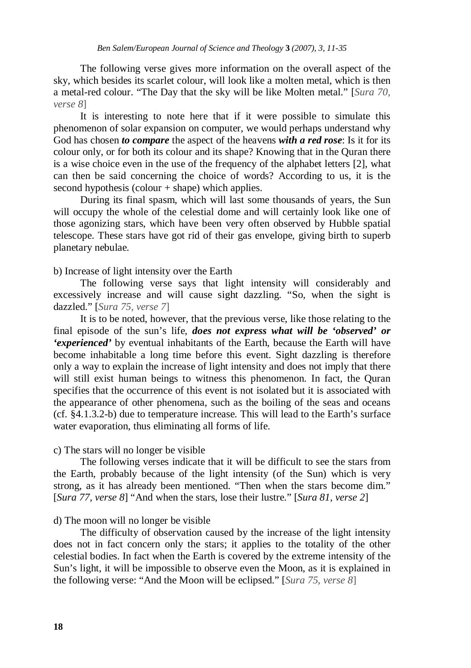The following verse gives more information on the overall aspect of the sky, which besides its scarlet colour, will look like a molten metal, which is then a metal-red colour. "The Day that the sky will be like Molten metal." [*Sura 70, verse 8*]

It is interesting to note here that if it were possible to simulate this phenomenon of solar expansion on computer, we would perhaps understand why God has chosen *to compare* the aspect of the heavens *with a red rose*: Is it for its colour only, or for both its colour and its shape? Knowing that in the Quran there is a wise choice even in the use of the frequency of the alphabet letters [2], what can then be said concerning the choice of words? According to us, it is the second hypothesis (colour  $+$  shape) which applies.

During its final spasm, which will last some thousands of years, the Sun will occupy the whole of the celestial dome and will certainly look like one of those agonizing stars, which have been very often observed by Hubble spatial telescope. These stars have got rid of their gas envelope, giving birth to superb planetary nebulae.

b) Increase of light intensity over the Earth

The following verse says that light intensity will considerably and excessively increase and will cause sight dazzling. "So, when the sight is dazzled." [*Sura 75, verse 7*]

It is to be noted, however, that the previous verse, like those relating to the final episode of the sun's life, *does not express what will be 'observed' or 'experienced'* by eventual inhabitants of the Earth, because the Earth will have become inhabitable a long time before this event. Sight dazzling is therefore only a way to explain the increase of light intensity and does not imply that there will still exist human beings to witness this phenomenon. In fact, the Quran specifies that the occurrence of this event is not isolated but it is associated with the appearance of other phenomena, such as the boiling of the seas and oceans (cf. §4.1.3.2-b) due to temperature increase. This will lead to the Earth's surface water evaporation, thus eliminating all forms of life.

c) The stars will no longer be visible

The following verses indicate that it will be difficult to see the stars from the Earth, probably because of the light intensity (of the Sun) which is very strong, as it has already been mentioned. "Then when the stars become dim." [*Sura 77, verse 8*] "And when the stars, lose their lustre." [*Sura 81, verse 2*]

#### d) The moon will no longer be visible

The difficulty of observation caused by the increase of the light intensity does not in fact concern only the stars; it applies to the totality of the other celestial bodies. In fact when the Earth is covered by the extreme intensity of the Sun's light, it will be impossible to observe even the Moon, as it is explained in the following verse: "And the Moon will be eclipsed." [*Sura 75, verse 8*]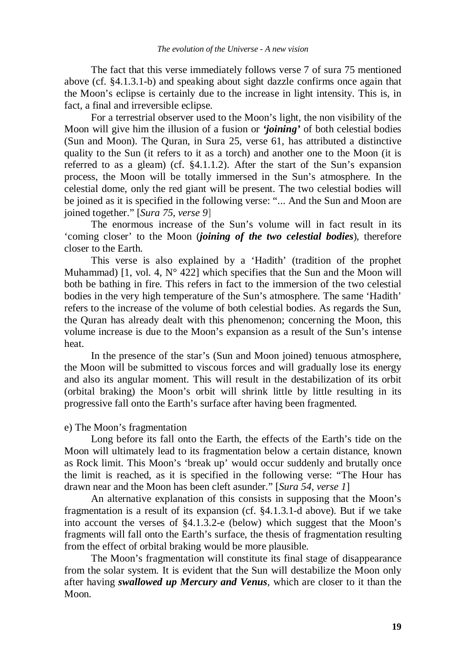The fact that this verse immediately follows verse 7 of sura 75 mentioned above (cf. §4.1.3.1-b) and speaking about sight dazzle confirms once again that the Moon's eclipse is certainly due to the increase in light intensity. This is, in fact, a final and irreversible eclipse.

For a terrestrial observer used to the Moon's light, the non visibility of the Moon will give him the illusion of a fusion or *'joining'* of both celestial bodies (Sun and Moon). The Quran, in Sura 25, verse 61, has attributed a distinctive quality to the Sun (it refers to it as a torch) and another one to the Moon (it is referred to as a gleam) (cf. §4.1.1.2). After the start of the Sun's expansion process, the Moon will be totally immersed in the Sun's atmosphere. In the celestial dome, only the red giant will be present. The two celestial bodies will be joined as it is specified in the following verse: "... And the Sun and Moon are joined together." [*Sura 75, verse 9*]

The enormous increase of the Sun's volume will in fact result in its 'coming closer' to the Moon (*joining of the two celestial bodies*), therefore closer to the Earth.

This verse is also explained by a 'Hadith' (tradition of the prophet Muhammad) [1, vol. 4,  $N^{\circ}$  422] which specifies that the Sun and the Moon will both be bathing in fire. This refers in fact to the immersion of the two celestial bodies in the very high temperature of the Sun's atmosphere. The same 'Hadith' refers to the increase of the volume of both celestial bodies. As regards the Sun, the Quran has already dealt with this phenomenon; concerning the Moon, this volume increase is due to the Moon's expansion as a result of the Sun's intense heat.

In the presence of the star's (Sun and Moon joined) tenuous atmosphere, the Moon will be submitted to viscous forces and will gradually lose its energy and also its angular moment. This will result in the destabilization of its orbit (orbital braking) the Moon's orbit will shrink little by little resulting in its progressive fall onto the Earth's surface after having been fragmented.

### e) The Moon's fragmentation

Long before its fall onto the Earth, the effects of the Earth's tide on the Moon will ultimately lead to its fragmentation below a certain distance, known as Rock limit. This Moon's 'break up' would occur suddenly and brutally once the limit is reached, as it is specified in the following verse: "The Hour has drawn near and the Moon has been cleft asunder." [*Sura 54, verse 1*]

An alternative explanation of this consists in supposing that the Moon's fragmentation is a result of its expansion (cf. §4.1.3.1-d above). But if we take into account the verses of §4.1.3.2-e (below) which suggest that the Moon's fragments will fall onto the Earth's surface, the thesis of fragmentation resulting from the effect of orbital braking would be more plausible.

The Moon's fragmentation will constitute its final stage of disappearance from the solar system. It is evident that the Sun will destabilize the Moon only after having *swallowed up Mercury and Venus*, which are closer to it than the Moon.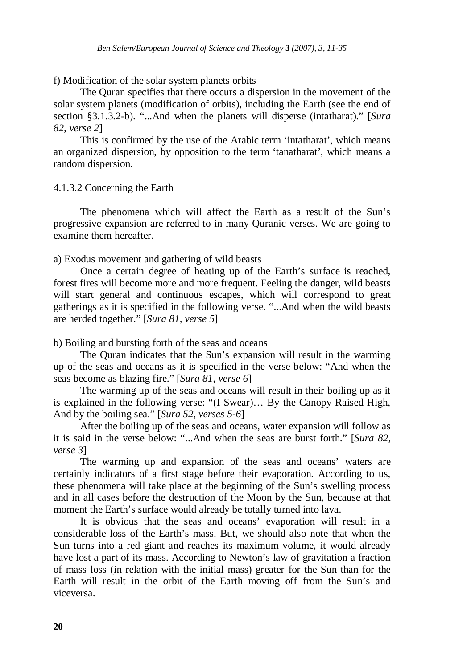f) Modification of the solar system planets orbits

The Quran specifies that there occurs a dispersion in the movement of the solar system planets (modification of orbits), including the Earth (see the end of section §3.1.3.2-b). "...And when the planets will disperse (intatharat)." [*Sura 82, verse 2*]

This is confirmed by the use of the Arabic term 'intatharat', which means an organized dispersion, by opposition to the term 'tanatharat', which means a random dispersion.

4.1.3.2 Concerning the Earth

The phenomena which will affect the Earth as a result of the Sun's progressive expansion are referred to in many Quranic verses. We are going to examine them hereafter.

a) Exodus movement and gathering of wild beasts

Once a certain degree of heating up of the Earth's surface is reached, forest fires will become more and more frequent. Feeling the danger, wild beasts will start general and continuous escapes, which will correspond to great gatherings as it is specified in the following verse. "...And when the wild beasts are herded together." [*Sura 81, verse 5*]

b) Boiling and bursting forth of the seas and oceans

The Quran indicates that the Sun's expansion will result in the warming up of the seas and oceans as it is specified in the verse below: "And when the seas become as blazing fire." [*Sura 81, verse 6*]

The warming up of the seas and oceans will result in their boiling up as it is explained in the following verse: "(I Swear)… By the Canopy Raised High, And by the boiling sea." [*Sura 52, verses 5-6*]

After the boiling up of the seas and oceans, water expansion will follow as it is said in the verse below: "...And when the seas are burst forth." [*Sura 82, verse 3*]

The warming up and expansion of the seas and oceans' waters are certainly indicators of a first stage before their evaporation. According to us, these phenomena will take place at the beginning of the Sun's swelling process and in all cases before the destruction of the Moon by the Sun, because at that moment the Earth's surface would already be totally turned into lava.

It is obvious that the seas and oceans' evaporation will result in a considerable loss of the Earth's mass. But, we should also note that when the Sun turns into a red giant and reaches its maximum volume, it would already have lost a part of its mass. According to Newton's law of gravitation a fraction of mass loss (in relation with the initial mass) greater for the Sun than for the Earth will result in the orbit of the Earth moving off from the Sun's and viceversa.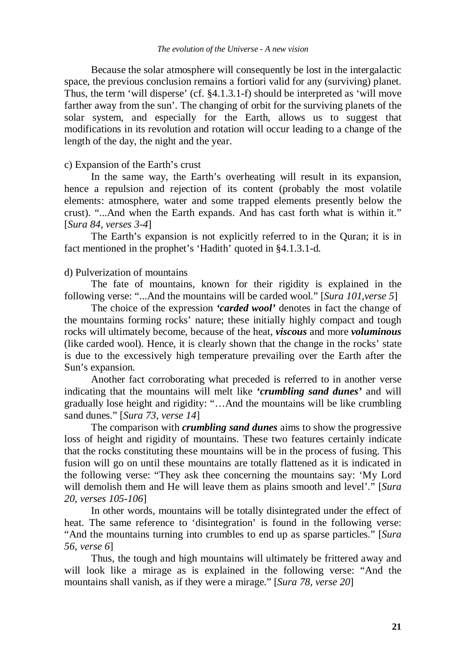#### *The evolution of the Universe - A new vision*

Because the solar atmosphere will consequently be lost in the intergalactic space, the previous conclusion remains a fortiori valid for any (surviving) planet. Thus, the term 'will disperse' (cf. §4.1.3.1-f) should be interpreted as 'will move farther away from the sun'. The changing of orbit for the surviving planets of the solar system, and especially for the Earth, allows us to suggest that modifications in its revolution and rotation will occur leading to a change of the length of the day, the night and the year.

## c) Expansion of the Earth's crust

In the same way, the Earth's overheating will result in its expansion, hence a repulsion and rejection of its content (probably the most volatile elements: atmosphere, water and some trapped elements presently below the crust). "...And when the Earth expands. And has cast forth what is within it." [*Sura 84, verses 3-4*]

The Earth's expansion is not explicitly referred to in the Quran; it is in fact mentioned in the prophet's 'Hadith' quoted in §4.1.3.1-d.

## d) Pulverization of mountains

The fate of mountains, known for their rigidity is explained in the following verse: "...And the mountains will be carded wool." [*Sura 101,verse 5*]

The choice of the expression *'carded wool'* denotes in fact the change of the mountains forming rocks' nature; these initially highly compact and tough rocks will ultimately become, because of the heat, *viscous* and more *voluminous*  (like carded wool). Hence, it is clearly shown that the change in the rocks' state is due to the excessively high temperature prevailing over the Earth after the Sun's expansion.

Another fact corroborating what preceded is referred to in another verse indicating that the mountains will melt like *'crumbling sand dunes'* and will gradually lose height and rigidity: "…And the mountains will be like crumbling sand dunes." [*Sura 73, verse 14*]

The comparison with *crumbling sand dunes* aims to show the progressive loss of height and rigidity of mountains. These two features certainly indicate that the rocks constituting these mountains will be in the process of fusing. This fusion will go on until these mountains are totally flattened as it is indicated in the following verse: "They ask thee concerning the mountains say: 'My Lord will demolish them and He will leave them as plains smooth and level'." [*Sura 20, verses 105-106*]

In other words, mountains will be totally disintegrated under the effect of heat. The same reference to 'disintegration' is found in the following verse: "And the mountains turning into crumbles to end up as sparse particles." [*Sura 56, verse 6*]

Thus, the tough and high mountains will ultimately be frittered away and will look like a mirage as is explained in the following verse: "And the mountains shall vanish, as if they were a mirage." [*Sura 78, verse 20*]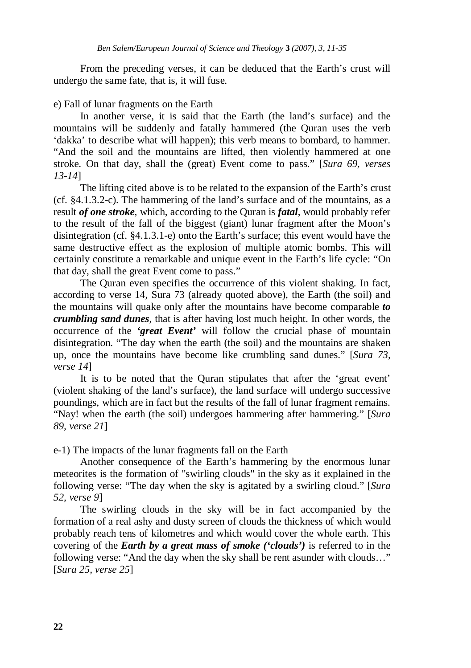From the preceding verses, it can be deduced that the Earth's crust will undergo the same fate, that is, it will fuse.

#### e) Fall of lunar fragments on the Earth

In another verse, it is said that the Earth (the land's surface) and the mountains will be suddenly and fatally hammered (the Quran uses the verb 'dakka' to describe what will happen); this verb means to bombard, to hammer. "And the soil and the mountains are lifted, then violently hammered at one stroke. On that day, shall the (great) Event come to pass." [*Sura 69, verses 13-14*]

The lifting cited above is to be related to the expansion of the Earth's crust (cf. §4.1.3.2-c). The hammering of the land's surface and of the mountains, as a result *of one stroke*, which, according to the Quran is *fatal*, would probably refer to the result of the fall of the biggest (giant) lunar fragment after the Moon's disintegration (cf. §4.1.3.1-e) onto the Earth's surface; this event would have the same destructive effect as the explosion of multiple atomic bombs. This will certainly constitute a remarkable and unique event in the Earth's life cycle: "On that day, shall the great Event come to pass."

The Quran even specifies the occurrence of this violent shaking. In fact, according to verse 14, Sura 73 (already quoted above), the Earth (the soil) and the mountains will quake only after the mountains have become comparable *to crumbling sand dunes*, that is after having lost much height. In other words, the occurrence of the *'great Event'* will follow the crucial phase of mountain disintegration. "The day when the earth (the soil) and the mountains are shaken up, once the mountains have become like crumbling sand dunes." [*Sura 73, verse 14*]

It is to be noted that the Quran stipulates that after the 'great event' (violent shaking of the land's surface), the land surface will undergo successive poundings, which are in fact but the results of the fall of lunar fragment remains. "Nay! when the earth (the soil) undergoes hammering after hammering." [*Sura 89, verse 21*]

e-1) The impacts of the lunar fragments fall on the Earth

Another consequence of the Earth's hammering by the enormous lunar meteorites is the formation of "swirling clouds" in the sky as it explained in the following verse: "The day when the sky is agitated by a swirling cloud." [*Sura 52, verse 9*]

The swirling clouds in the sky will be in fact accompanied by the formation of a real ashy and dusty screen of clouds the thickness of which would probably reach tens of kilometres and which would cover the whole earth. This covering of the *Earth by a great mass of smoke ('clouds')* is referred to in the following verse: "And the day when the sky shall be rent asunder with clouds…" [*Sura 25, verse 25*]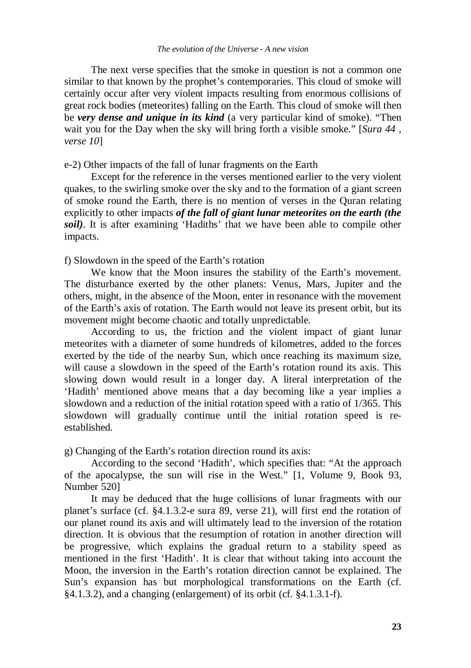The next verse specifies that the smoke in question is not a common one similar to that known by the prophet's contemporaries. This cloud of smoke will certainly occur after very violent impacts resulting from enormous collisions of great rock bodies (meteorites) falling on the Earth. This cloud of smoke will then be *very dense and unique in its kind* (a very particular kind of smoke). "Then wait you for the Day when the sky will bring forth a visible smoke." [*Sura 44 , verse 10*]

## e-2) Other impacts of the fall of lunar fragments on the Earth

Except for the reference in the verses mentioned earlier to the very violent quakes, to the swirling smoke over the sky and to the formation of a giant screen of smoke round the Earth, there is no mention of verses in the Quran relating explicitly to other impacts *of the fall of giant lunar meteorites on the earth (the soil*). It is after examining 'Hadiths' that we have been able to compile other impacts.

f) Slowdown in the speed of the Earth's rotation

We know that the Moon insures the stability of the Earth's movement. The disturbance exerted by the other planets: Venus, Mars, Jupiter and the others, might, in the absence of the Moon, enter in resonance with the movement of the Earth's axis of rotation. The Earth would not leave its present orbit, but its movement might become chaotic and totally unpredictable.

According to us, the friction and the violent impact of giant lunar meteorites with a diameter of some hundreds of kilometres, added to the forces exerted by the tide of the nearby Sun, which once reaching its maximum size, will cause a slowdown in the speed of the Earth's rotation round its axis. This slowing down would result in a longer day. A literal interpretation of the 'Hadith' mentioned above means that a day becoming like a year implies a slowdown and a reduction of the initial rotation speed with a ratio of 1/365. This slowdown will gradually continue until the initial rotation speed is reestablished.

g) Changing of the Earth's rotation direction round its axis:

According to the second 'Hadith', which specifies that: "At the approach of the apocalypse, the sun will rise in the West." [1, Volume 9, Book 93, Number 520]

It may be deduced that the huge collisions of lunar fragments with our planet's surface (cf. §4.1.3.2-e sura 89, verse 21), will first end the rotation of our planet round its axis and will ultimately lead to the inversion of the rotation direction. It is obvious that the resumption of rotation in another direction will be progressive, which explains the gradual return to a stability speed as mentioned in the first 'Hadith'. It is clear that without taking into account the Moon, the inversion in the Earth's rotation direction cannot be explained. The Sun's expansion has but morphological transformations on the Earth (cf. §4.1.3.2), and a changing (enlargement) of its orbit (cf. §4.1.3.1-f).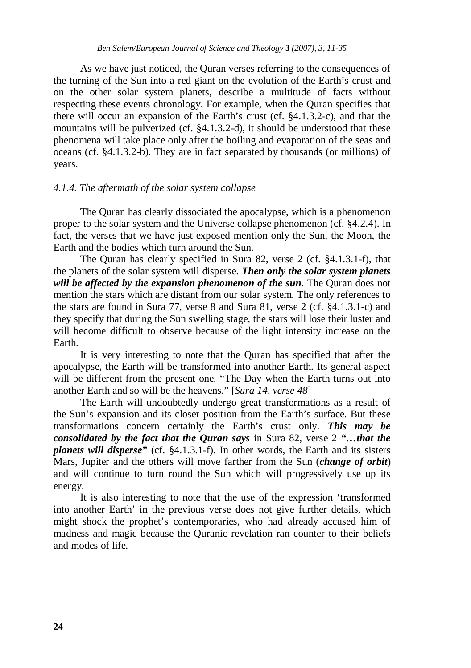As we have just noticed, the Quran verses referring to the consequences of the turning of the Sun into a red giant on the evolution of the Earth's crust and on the other solar system planets, describe a multitude of facts without respecting these events chronology. For example, when the Quran specifies that there will occur an expansion of the Earth's crust (cf. §4.1.3.2-c), and that the mountains will be pulverized (cf. §4.1.3.2-d), it should be understood that these phenomena will take place only after the boiling and evaporation of the seas and oceans (cf. §4.1.3.2-b). They are in fact separated by thousands (or millions) of years.

## *4.1.4. The aftermath of the solar system collapse*

The Quran has clearly dissociated the apocalypse, which is a phenomenon proper to the solar system and the Universe collapse phenomenon (cf. §4.2.4). In fact, the verses that we have just exposed mention only the Sun, the Moon, the Earth and the bodies which turn around the Sun.

The Quran has clearly specified in Sura 82, verse 2 (cf. §4.1.3.1-f), that the planets of the solar system will disperse. *Then only the solar system planets will be affected by the expansion phenomenon of the sun.* The Quran does not mention the stars which are distant from our solar system. The only references to the stars are found in Sura 77, verse 8 and Sura 81, verse 2 (cf. §4.1.3.1-c) and they specify that during the Sun swelling stage, the stars will lose their luster and will become difficult to observe because of the light intensity increase on the Earth.

It is very interesting to note that the Quran has specified that after the apocalypse, the Earth will be transformed into another Earth. Its general aspect will be different from the present one. "The Day when the Earth turns out into another Earth and so will be the heavens." [*Sura 14, verse 48*]

The Earth will undoubtedly undergo great transformations as a result of the Sun's expansion and its closer position from the Earth's surface. But these transformations concern certainly the Earth's crust only. *This may be consolidated by the fact that the Quran says* in Sura 82, verse 2 *"…that the planets will disperse"* (cf. §4.1.3.1-f). In other words, the Earth and its sisters Mars, Jupiter and the others will move farther from the Sun (*change of orbit*) and will continue to turn round the Sun which will progressively use up its energy.

It is also interesting to note that the use of the expression 'transformed into another Earth' in the previous verse does not give further details, which might shock the prophet's contemporaries, who had already accused him of madness and magic because the Quranic revelation ran counter to their beliefs and modes of life.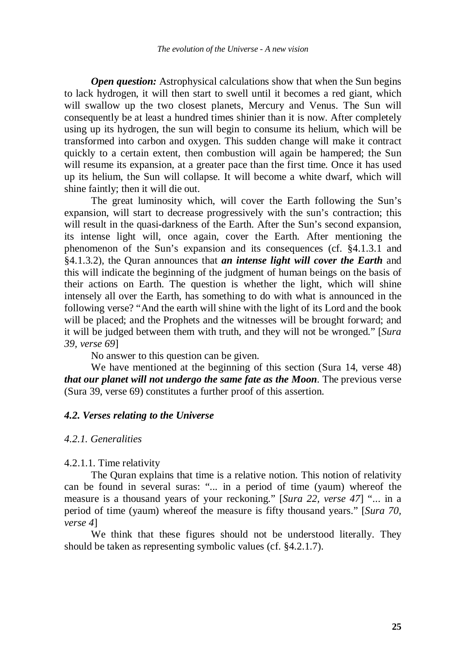*Open question:* Astrophysical calculations show that when the Sun begins to lack hydrogen, it will then start to swell until it becomes a red giant, which will swallow up the two closest planets, Mercury and Venus. The Sun will consequently be at least a hundred times shinier than it is now. After completely using up its hydrogen, the sun will begin to consume its helium, which will be transformed into carbon and oxygen. This sudden change will make it contract quickly to a certain extent, then combustion will again be hampered; the Sun will resume its expansion, at a greater pace than the first time. Once it has used up its helium, the Sun will collapse. It will become a white dwarf, which will shine faintly; then it will die out.

The great luminosity which, will cover the Earth following the Sun's expansion, will start to decrease progressively with the sun's contraction; this will result in the quasi-darkness of the Earth. After the Sun's second expansion, its intense light will, once again, cover the Earth. After mentioning the phenomenon of the Sun's expansion and its consequences (cf. §4.1.3.1 and §4.1.3.2), the Quran announces that *an intense light will cover the Earth* and this will indicate the beginning of the judgment of human beings on the basis of their actions on Earth. The question is whether the light, which will shine intensely all over the Earth, has something to do with what is announced in the following verse? "And the earth will shine with the light of its Lord and the book will be placed; and the Prophets and the witnesses will be brought forward; and it will be judged between them with truth, and they will not be wronged." [*Sura 39, verse 69*]

No answer to this question can be given.

We have mentioned at the beginning of this section (Sura 14, verse 48) *that our planet will not undergo the same fate as the Moon*. The previous verse (Sura 39, verse 69) constitutes a further proof of this assertion.

#### *4.2. Verses relating to the Universe*

#### *4.2.1. Generalities*

4.2.1.1. Time relativity

The Quran explains that time is a relative notion. This notion of relativity can be found in several suras: "... in a period of time (yaum) whereof the measure is a thousand years of your reckoning." [*Sura 22, verse 47*] "... in a period of time (yaum) whereof the measure is fifty thousand years." [*Sura 70, verse 4*]

We think that these figures should not be understood literally. They should be taken as representing symbolic values (cf. §4.2.1.7).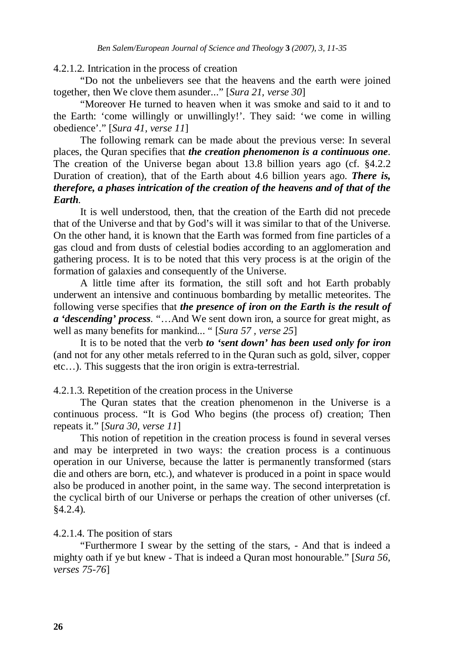## 4.2.1.2. Intrication in the process of creation

"Do not the unbelievers see that the heavens and the earth were joined together, then We clove them asunder..." [*Sura 21, verse 30*]

"Moreover He turned to heaven when it was smoke and said to it and to the Earth: 'come willingly or unwillingly!'. They said: 'we come in willing obedience'." [*Sura 41, verse 11*]

The following remark can be made about the previous verse: In several places, the Quran specifies that *the creation phenomenon is a continuous one*. The creation of the Universe began about 13.8 billion years ago (cf. §4.2.2 Duration of creation), that of the Earth about 4.6 billion years ago. *There is, therefore, a phases intrication of the creation of the heavens and of that of the Earth.* 

It is well understood, then, that the creation of the Earth did not precede that of the Universe and that by God's will it was similar to that of the Universe. On the other hand, it is known that the Earth was formed from fine particles of a gas cloud and from dusts of celestial bodies according to an agglomeration and gathering process. It is to be noted that this very process is at the origin of the formation of galaxies and consequently of the Universe.

A little time after its formation, the still soft and hot Earth probably underwent an intensive and continuous bombarding by metallic meteorites. The following verse specifies that *the presence of iron on the Earth is the result of a 'descending' process.* "…And We sent down iron, a source for great might, as well as many benefits for mankind... " [*Sura 57 , verse 25*]

It is to be noted that the verb *to 'sent down' has been used only for iron* (and not for any other metals referred to in the Quran such as gold, silver, copper etc…). This suggests that the iron origin is extra-terrestrial.

4.2.1.3. Repetition of the creation process in the Universe

The Quran states that the creation phenomenon in the Universe is a continuous process. "It is God Who begins (the process of) creation; Then repeats it." [*Sura 30, verse 11*]

This notion of repetition in the creation process is found in several verses and may be interpreted in two ways: the creation process is a continuous operation in our Universe, because the latter is permanently transformed (stars die and others are born, etc.), and whatever is produced in a point in space would also be produced in another point, in the same way. The second interpretation is the cyclical birth of our Universe or perhaps the creation of other universes (cf. §4.2.4).

4.2.1.4. The position of stars

"Furthermore I swear by the setting of the stars, - And that is indeed a mighty oath if ye but knew - That is indeed a Quran most honourable." [*Sura 56, verses 75-76*]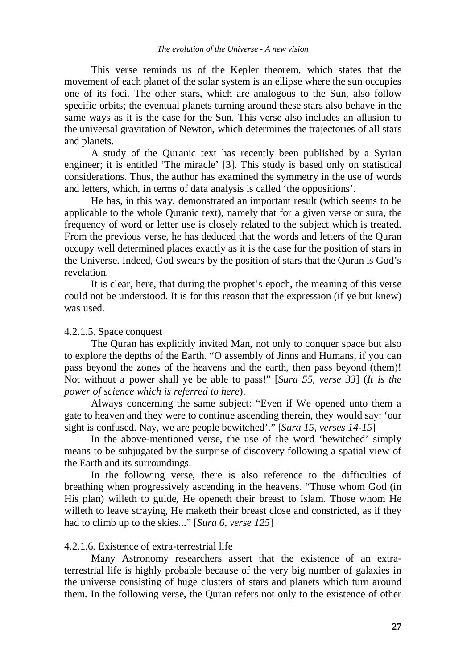This verse reminds us of the Kepler theorem, which states that the movement of each planet of the solar system is an ellipse where the sun occupies one of its foci. The other stars, which are analogous to the Sun, also follow specific orbits; the eventual planets turning around these stars also behave in the same ways as it is the case for the Sun. This verse also includes an allusion to the universal gravitation of Newton, which determines the trajectories of all stars and planets.

A study of the Quranic text has recently been published by a Syrian engineer; it is entitled 'The miracle' [3]. This study is based only on statistical considerations. Thus, the author has examined the symmetry in the use of words and letters, which, in terms of data analysis is called 'the oppositions'.

He has, in this way, demonstrated an important result (which seems to be applicable to the whole Quranic text), namely that for a given verse or sura, the frequency of word or letter use is closely related to the subject which is treated. From the previous verse, he has deduced that the words and letters of the Quran occupy well determined places exactly as it is the case for the position of stars in the Universe. Indeed, God swears by the position of stars that the Quran is God's revelation.

It is clear, here, that during the prophet's epoch, the meaning of this verse could not be understood. It is for this reason that the expression (if ye but knew) was used.

#### 4.2.1.5. Space conquest

The Quran has explicitly invited Man, not only to conquer space but also to explore the depths of the Earth. "O assembly of Jinns and Humans, if you can pass beyond the zones of the heavens and the earth, then pass beyond (them)! Not without a power shall ye be able to pass!" [*Sura 55, verse 33*] (*It is the power of science which is referred to here*).

Always concerning the same subject: "Even if We opened unto them a gate to heaven and they were to continue ascending therein, they would say: 'our sight is confused. Nay, we are people bewitched'." [*Sura 15, verses 14-15*]

In the above-mentioned verse, the use of the word 'bewitched' simply means to be subjugated by the surprise of discovery following a spatial view of the Earth and its surroundings.

In the following verse, there is also reference to the difficulties of breathing when progressively ascending in the heavens. "Those whom God (in His plan) willeth to guide, He openeth their breast to Islam. Those whom He willeth to leave straying, He maketh their breast close and constricted, as if they had to climb up to the skies..." [*Sura 6, verse 125*]

# 4.2.1.6. Existence of extra-terrestrial life

Many Astronomy researchers assert that the existence of an extraterrestrial life is highly probable because of the very big number of galaxies in the universe consisting of huge clusters of stars and planets which turn around them. In the following verse, the Quran refers not only to the existence of other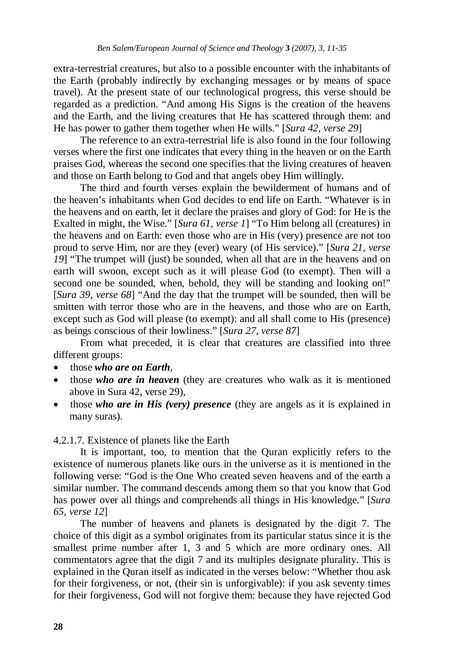extra-terrestrial creatures, but also to a possible encounter with the inhabitants of the Earth (probably indirectly by exchanging messages or by means of space travel). At the present state of our technological progress, this verse should be regarded as a prediction. "And among His Signs is the creation of the heavens and the Earth, and the living creatures that He has scattered through them: and He has power to gather them together when He wills." [*Sura 42, verse 29*]

The reference to an extra-terrestrial life is also found in the four following verses where the first one indicates that every thing in the heaven or on the Earth praises God, whereas the second one specifies that the living creatures of heaven and those on Earth belong to God and that angels obey Him willingly.

The third and fourth verses explain the bewilderment of humans and of the heaven's inhabitants when God decides to end life on Earth. "Whatever is in the heavens and on earth, let it declare the praises and glory of God: for He is the Exalted in might, the Wise." [*Sura 61, verse 1*] "To Him belong all (creatures) in the heavens and on Earth: even those who are in His (very) presence are not too proud to serve Him, nor are they (ever) weary (of His service)." [*Sura 21, verse 19*] "The trumpet will (just) be sounded, when all that are in the heavens and on earth will swoon, except such as it will please God (to exempt). Then will a second one be sounded, when, behold, they will be standing and looking on!" [*Sura 39, verse 68*] "And the day that the trumpet will be sounded, then will be smitten with terror those who are in the heavens, and those who are on Earth, except such as God will please (to exempt): and all shall come to His (presence) as beings conscious of their lowliness." [*Sura 27, verse 87*]

From what preceded, it is clear that creatures are classified into three different groups:

- those *who are on Earth*,
- those *who are in heaven* (they are creatures who walk as it is mentioned above in Sura 42, verse 29),
- those *who are in His (very) presence* (they are angels as it is explained in many suras).

## 4.2.1.7. Existence of planets like the Earth

It is important, too, to mention that the Quran explicitly refers to the existence of numerous planets like ours in the universe as it is mentioned in the following verse: "God is the One Who created seven heavens and of the earth a similar number. The command descends among them so that you know that God has power over all things and comprehends all things in His knowledge." [*Sura 65, verse 12*]

The number of heavens and planets is designated by the digit 7. The choice of this digit as a symbol originates from its particular status since it is the smallest prime number after 1, 3 and 5 which are more ordinary ones. All commentators agree that the digit 7 and its multiples designate plurality. This is explained in the Quran itself as indicated in the verses below: "Whether thou ask for their forgiveness, or not, (their sin is unforgivable): if you ask seventy times for their forgiveness, God will not forgive them: because they have rejected God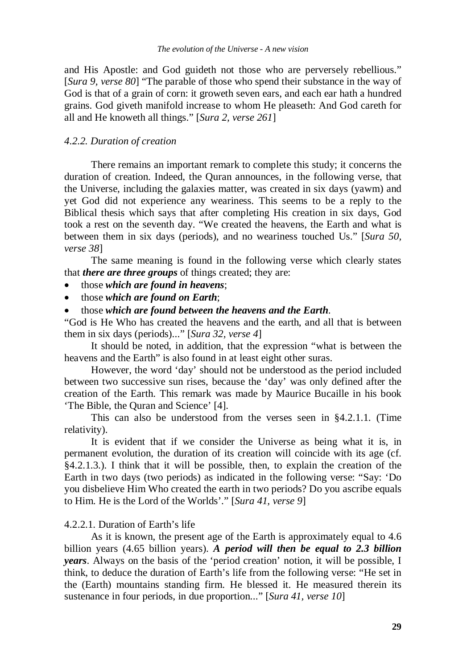and His Apostle: and God guideth not those who are perversely rebellious." [*Sura 9, verse 80*] "The parable of those who spend their substance in the way of God is that of a grain of corn: it groweth seven ears, and each ear hath a hundred grains. God giveth manifold increase to whom He pleaseth: And God careth for all and He knoweth all things." [*Sura 2, verse 261*]

# *4.2.2. Duration of creation*

There remains an important remark to complete this study; it concerns the duration of creation. Indeed, the Quran announces, in the following verse, that the Universe, including the galaxies matter, was created in six days (yawm) and yet God did not experience any weariness. This seems to be a reply to the Biblical thesis which says that after completing His creation in six days, God took a rest on the seventh day. "We created the heavens, the Earth and what is between them in six days (periods), and no weariness touched Us." [*Sura 50, verse 38*]

The same meaning is found in the following verse which clearly states that *there are three groups* of things created; they are:

- those *which are found in heavens*;
- those *which are found on Earth*;
- those *which are found between the heavens and the Earth*.

"God is He Who has created the heavens and the earth, and all that is between them in six days (periods)..." [*Sura 32, verse 4*]

It should be noted, in addition, that the expression "what is between the heavens and the Earth" is also found in at least eight other suras.

However, the word 'day' should not be understood as the period included between two successive sun rises, because the 'day' was only defined after the creation of the Earth. This remark was made by Maurice Bucaille in his book 'The Bible, the Quran and Science' [4].

This can also be understood from the verses seen in §4.2.1.1. (Time relativity).

It is evident that if we consider the Universe as being what it is, in permanent evolution, the duration of its creation will coincide with its age (cf. §4.2.1.3.). I think that it will be possible, then, to explain the creation of the Earth in two days (two periods) as indicated in the following verse: "Say: 'Do you disbelieve Him Who created the earth in two periods? Do you ascribe equals to Him. He is the Lord of the Worlds'." [*Sura 41, verse 9*]

#### 4.2.2.1. Duration of Earth's life

As it is known, the present age of the Earth is approximately equal to 4.6 billion years (4.65 billion years). *A period will then be equal to 2.3 billion years*. Always on the basis of the 'period creation' notion, it will be possible, I think, to deduce the duration of Earth's life from the following verse: "He set in the (Earth) mountains standing firm. He blessed it. He measured therein its sustenance in four periods, in due proportion..." [*Sura 41, verse 10*]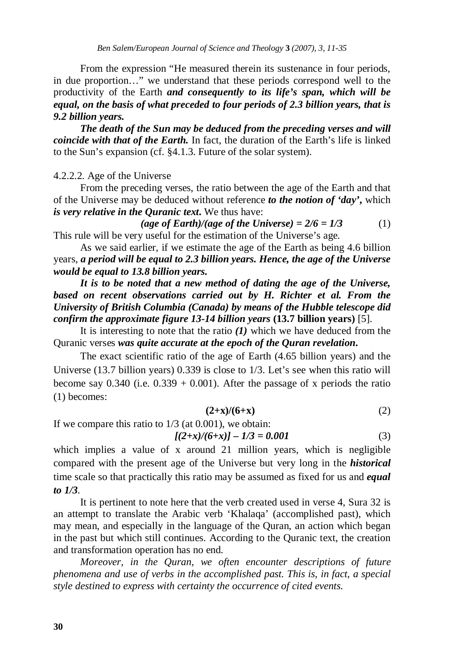From the expression "He measured therein its sustenance in four periods, in due proportion…" we understand that these periods correspond well to the productivity of the Earth *and consequently to its life's span, which will be equal, on the basis of what preceded to four periods of 2.3 billion years, that is 9.2 billion years.* 

*The death of the Sun may be deduced from the preceding verses and will coincide with that of the Earth.* In fact, the duration of the Earth's life is linked to the Sun's expansion (cf. §4.1.3. Future of the solar system).

# 4.2.2.2. Age of the Universe

From the preceding verses, the ratio between the age of the Earth and that of the Universe may be deduced without reference *to the notion of 'day'***,** which *is very relative in the Quranic text***.** We thus have:

 $(\textit{age of Earth})/(\textit{age of the Universe}) = 2/6 = 1/3$  (1) This rule will be very useful for the estimation of the Universe's age.

As we said earlier, if we estimate the age of the Earth as being 4.6 billion years, *a period will be equal to 2.3 billion years. Hence, the age of the Universe would be equal to 13.8 billion years.* 

*It is to be noted that a new method of dating the age of the Universe, based on recent observations carried out by H. Richter et al. From the University of British Columbia (Canada) by means of the Hubble telescope did confirm the approximate figure 13-14 billion years* **(13.7 billion years)** [5].

It is interesting to note that the ratio  $(I)$  which we have deduced from the Quranic verses *was quite accurate at the epoch of the Quran revelation***.** 

 The exact scientific ratio of the age of Earth (4.65 billion years) and the Universe (13.7 billion years) 0.339 is close to 1/3. Let's see when this ratio will become say  $0.340$  (i.e.  $0.339 + 0.001$ ). After the passage of x periods the ratio (1) becomes:

$$
(2+x)/(6+x) \tag{2}
$$

If we compare this ratio to  $1/3$  (at 0.001), we obtain:

$$
[(2+x)/(6+x)] - 1/3 = 0.001
$$
 (3)

which implies a value of x around 21 million years, which is negligible compared with the present age of the Universe but very long in the *historical* time scale so that practically this ratio may be assumed as fixed for us and *equal to 1/3*.

It is pertinent to note here that the verb created used in verse 4, Sura 32 is an attempt to translate the Arabic verb 'Khalaqa' (accomplished past), which may mean, and especially in the language of the Quran, an action which began in the past but which still continues. According to the Quranic text, the creation and transformation operation has no end.

*Moreover, in the Quran, we often encounter descriptions of future phenomena and use of verbs in the accomplished past. This is, in fact, a special style destined to express with certainty the occurrence of cited events.*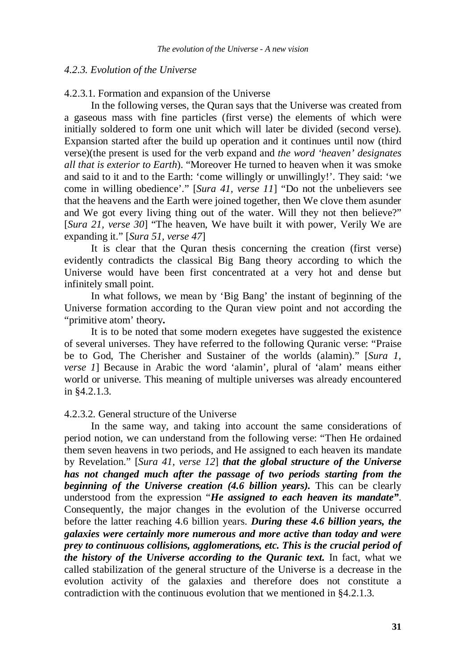#### *4.2.3. Evolution of the Universe*

### 4.2.3.1. Formation and expansion of the Universe

In the following verses, the Quran says that the Universe was created from a gaseous mass with fine particles (first verse) the elements of which were initially soldered to form one unit which will later be divided (second verse). Expansion started after the build up operation and it continues until now (third verse)(the present is used for the verb expand and *the word 'heaven' designates all that is exterior to Earth*). "Moreover He turned to heaven when it was smoke and said to it and to the Earth: 'come willingly or unwillingly!'. They said: 'we come in willing obedience'." [*Sura 41, verse 11*] "Do not the unbelievers see that the heavens and the Earth were joined together, then We clove them asunder and We got every living thing out of the water. Will they not then believe?" [*Sura 21, verse 30*] "The heaven, We have built it with power, Verily We are expanding it." [*Sura 51, verse 47*]

It is clear that the Quran thesis concerning the creation (first verse) evidently contradicts the classical Big Bang theory according to which the Universe would have been first concentrated at a very hot and dense but infinitely small point.

In what follows, we mean by 'Big Bang' the instant of beginning of the Universe formation according to the Quran view point and not according the "primitive atom' theory**.** 

It is to be noted that some modern exegetes have suggested the existence of several universes. They have referred to the following Quranic verse: "Praise be to God, The Cherisher and Sustainer of the worlds (alamin)." [*Sura 1, verse 1*] Because in Arabic the word 'alamin', plural of 'alam' means either world or universe. This meaning of multiple universes was already encountered in §4.2.1.3.

## 4.2.3.2. General structure of the Universe

In the same way, and taking into account the same considerations of period notion, we can understand from the following verse: "Then He ordained them seven heavens in two periods, and He assigned to each heaven its mandate by Revelation." [*Sura 41, verse 12*] *that the global structure of the Universe has not changed much after the passage of two periods starting from the beginning of the Universe creation (4.6 billion years).* This can be clearly understood from the expression "*He assigned to each heaven its mandate"*. Consequently, the major changes in the evolution of the Universe occurred before the latter reaching 4.6 billion years. *During these 4.6 billion years, the galaxies were certainly more numerous and more active than today and were prey to continuous collisions, agglomerations, etc. This is the crucial period of the history of the Universe according to the Quranic text.* In fact, what we called stabilization of the general structure of the Universe is a decrease in the evolution activity of the galaxies and therefore does not constitute a contradiction with the continuous evolution that we mentioned in §4.2.1.3.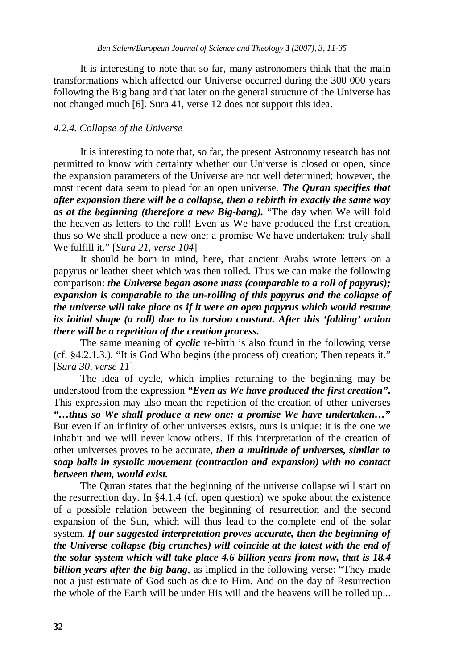It is interesting to note that so far, many astronomers think that the main transformations which affected our Universe occurred during the 300 000 years following the Big bang and that later on the general structure of the Universe has not changed much [6]. Sura 41, verse 12 does not support this idea.

## *4.2.4. Collapse of the Universe*

It is interesting to note that, so far, the present Astronomy research has not permitted to know with certainty whether our Universe is closed or open, since the expansion parameters of the Universe are not well determined; however, the most recent data seem to plead for an open universe. *The Quran specifies that after expansion there will be a collapse, then a rebirth in exactly the same way as at the beginning (therefore a new Big-bang).* "The day when We will fold the heaven as letters to the roll! Even as We have produced the first creation, thus so We shall produce a new one: a promise We have undertaken: truly shall We fulfill it." [*Sura 21, verse 104*]

It should be born in mind, here, that ancient Arabs wrote letters on a papyrus or leather sheet which was then rolled. Thus we can make the following comparison: *the Universe began asone mass (comparable to a roll of papyrus); expansion is comparable to the un-rolling of this papyrus and the collapse of the universe will take place as if it were an open papyrus which would resume its initial shape (a roll) due to its torsion constant. After this 'folding' action there will be a repetition of the creation process.* 

The same meaning of *cyclic* re-birth is also found in the following verse (cf. §4.2.1.3.). "It is God Who begins (the process of) creation; Then repeats it." [*Sura 30, verse 11*]

The idea of cycle, which implies returning to the beginning may be understood from the expression *"Even as We have produced the first creation"***.**  This expression may also mean the repetition of the creation of other universes *"…thus so We shall produce a new one: a promise We have undertaken…"* But even if an infinity of other universes exists, ours is unique: it is the one we inhabit and we will never know others. If this interpretation of the creation of other universes proves to be accurate, *then a multitude of universes, similar to soap balls in systolic movement (contraction and expansion) with no contact between them, would exist.* 

The Quran states that the beginning of the universe collapse will start on the resurrection day. In §4.1.4 (cf. open question) we spoke about the existence of a possible relation between the beginning of resurrection and the second expansion of the Sun, which will thus lead to the complete end of the solar system. *If our suggested interpretation proves accurate, then the beginning of the Universe collapse (big crunches) will coincide at the latest with the end of the solar system which will take place 4.6 billion years from now, that is 18.4 billion years after the big bang*, as implied in the following verse: "They made not a just estimate of God such as due to Him. And on the day of Resurrection the whole of the Earth will be under His will and the heavens will be rolled up...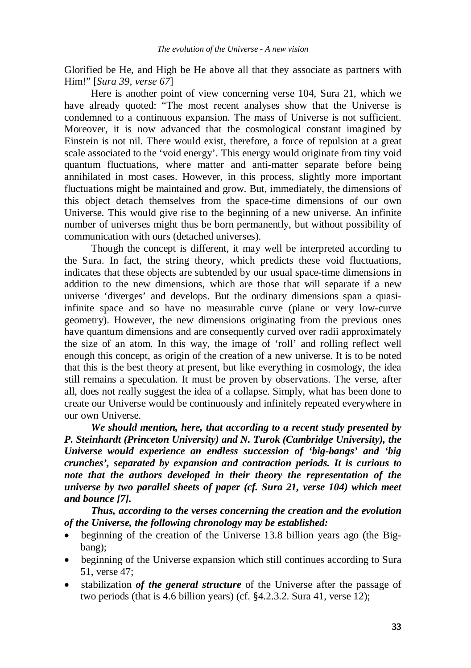Glorified be He, and High be He above all that they associate as partners with Him!" [*Sura 39, verse 67*]

Here is another point of view concerning verse 104, Sura 21, which we have already quoted: "The most recent analyses show that the Universe is condemned to a continuous expansion. The mass of Universe is not sufficient. Moreover, it is now advanced that the cosmological constant imagined by Einstein is not nil. There would exist, therefore, a force of repulsion at a great scale associated to the 'void energy'. This energy would originate from tiny void quantum fluctuations, where matter and anti-matter separate before being annihilated in most cases. However, in this process, slightly more important fluctuations might be maintained and grow. But, immediately, the dimensions of this object detach themselves from the space-time dimensions of our own Universe. This would give rise to the beginning of a new universe. An infinite number of universes might thus be born permanently, but without possibility of communication with ours (detached universes).

Though the concept is different, it may well be interpreted according to the Sura. In fact, the string theory, which predicts these void fluctuations, indicates that these objects are subtended by our usual space-time dimensions in addition to the new dimensions, which are those that will separate if a new universe 'diverges' and develops. But the ordinary dimensions span a quasiinfinite space and so have no measurable curve (plane or very low-curve geometry). However, the new dimensions originating from the previous ones have quantum dimensions and are consequently curved over radii approximately the size of an atom. In this way, the image of 'roll' and rolling reflect well enough this concept, as origin of the creation of a new universe. It is to be noted that this is the best theory at present, but like everything in cosmology, the idea still remains a speculation. It must be proven by observations. The verse, after all, does not really suggest the idea of a collapse. Simply, what has been done to create our Universe would be continuously and infinitely repeated everywhere in our own Universe.

*We should mention, here, that according to a recent study presented by P. Steinhardt (Princeton University) and N. Turok (Cambridge University), the Universe would experience an endless succession of 'big-bangs' and 'big crunches', separated by expansion and contraction periods. It is curious to note that the authors developed in their theory the representation of the universe by two parallel sheets of paper (cf. Sura 21, verse 104) which meet and bounce [7].* 

*Thus, according to the verses concerning the creation and the evolution of the Universe, the following chronology may be established:* 

- beginning of the creation of the Universe 13.8 billion years ago (the Bigbang);
- beginning of the Universe expansion which still continues according to Sura 51, verse 47;
- stabilization *of the general structure* of the Universe after the passage of two periods (that is 4.6 billion years) (cf. §4.2.3.2. Sura 41, verse 12);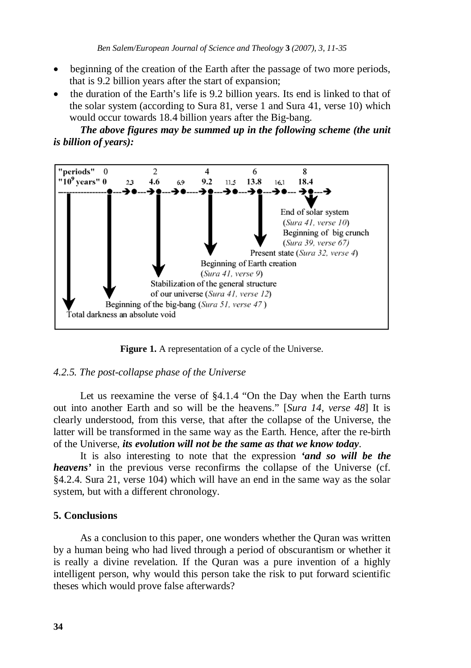- beginning of the creation of the Earth after the passage of two more periods, that is 9.2 billion years after the start of expansion;
- the duration of the Earth's life is 9.2 billion years. Its end is linked to that of the solar system (according to Sura 81, verse 1 and Sura 41, verse 10) which would occur towards 18.4 billion years after the Big-bang.

*The above figures may be summed up in the following scheme (the unit is billion of years):*



Figure 1. A representation of a cycle of the Universe.

#### *4.2.5. The post-collapse phase of the Universe*

Let us reexamine the verse of §4.1.4 "On the Day when the Earth turns out into another Earth and so will be the heavens." [*Sura 14, verse 48*] It is clearly understood, from this verse, that after the collapse of the Universe, the latter will be transformed in the same way as the Earth. Hence, after the re-birth of the Universe, *its evolution will not be the same as that we know today*.

It is also interesting to note that the expression *'and so will be the heavens'* in the previous verse reconfirms the collapse of the Universe (cf. §4.2.4. Sura 21, verse 104) which will have an end in the same way as the solar system, but with a different chronology.

# **5. Conclusions**

As a conclusion to this paper, one wonders whether the Quran was written by a human being who had lived through a period of obscurantism or whether it is really a divine revelation. If the Quran was a pure invention of a highly intelligent person, why would this person take the risk to put forward scientific theses which would prove false afterwards?